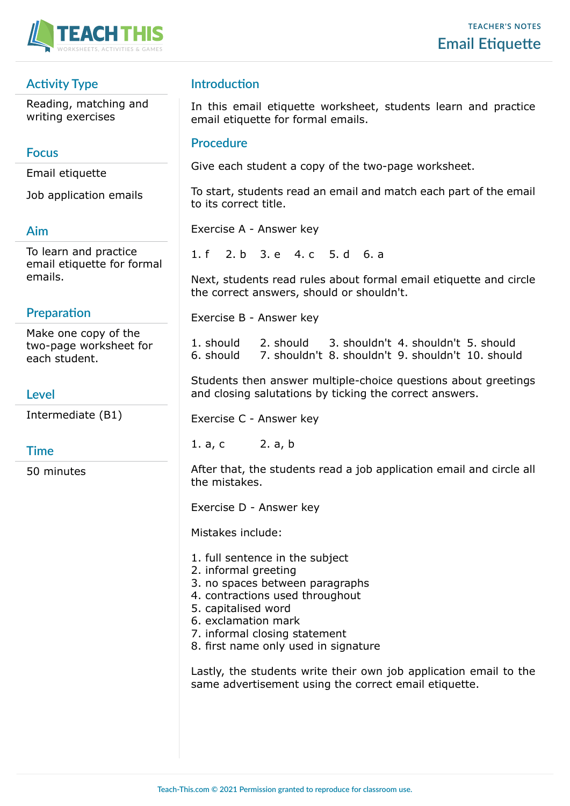

# **Activity Type**

Reading, matching and writing exercises

### **Focus**

Email etiquette

Job application emails

### **Aim**

To learn and practice email etiquette for formal emails.

## **Preparation**

Make one copy of the two-page worksheet for each student.

## **Level**

Intermediate (B1)

## **Time**

50 minutes

## **Introduction**

In this email etiquette worksheet, students learn and practice email etiquette for formal emails.

### **Procedure**

Give each student a copy of the two-page worksheet.

To start, students read an email and match each part of the email to its correct title.

Exercise A - Answer key

1. f 2. b 3. e 4. c 5. d 6. a

Next, students read rules about formal email etiquette and circle the correct answers, should or shouldn't.

Exercise B - Answer key

1. should 2. should 3. shouldn't 4. shouldn't 5. should 6. should 7. shouldn't 8. shouldn't 9. shouldn't 10. should

Students then answer multiple-choice questions about greetings and closing salutations by ticking the correct answers.

Exercise C - Answer key

1. a, c 2. a, b

After that, the students read a job application email and circle all the mistakes.

Exercise D - Answer key

Mistakes include:

- 1. full sentence in the subject
- 2. informal greeting
- 3. no spaces between paragraphs
- 4. contractions used throughout
- 5. capitalised word
- 6. exclamation mark
- 7. informal closing statement
- 8. first name only used in signature

Lastly, the students write their own job application email to the same advertisement using the correct email etiquette.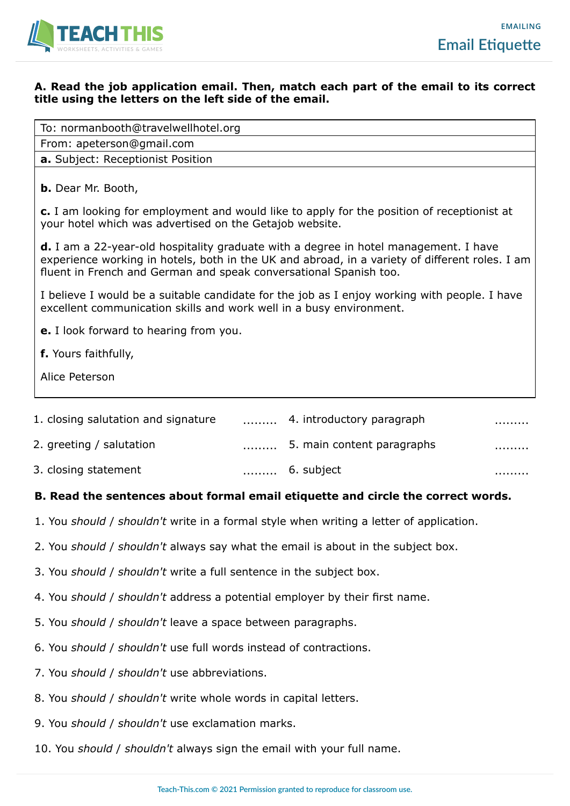

.........

### **A. Read the job application email. Then, match each part of the email to its correct title using the letters on the left side of the email.**

| To: normanbooth@travelwellhotel.org                                                                                                                                                                                                                                |
|--------------------------------------------------------------------------------------------------------------------------------------------------------------------------------------------------------------------------------------------------------------------|
| From: apeterson@gmail.com                                                                                                                                                                                                                                          |
| a. Subject: Receptionist Position                                                                                                                                                                                                                                  |
| <b>b.</b> Dear Mr. Booth,                                                                                                                                                                                                                                          |
| c. I am looking for employment and would like to apply for the position of receptionist at<br>your hotel which was advertised on the Getajob website.                                                                                                              |
| <b>d.</b> I am a 22-year-old hospitality graduate with a degree in hotel management. I have<br>experience working in hotels, both in the UK and abroad, in a variety of different roles. I am<br>fluent in French and German and speak conversational Spanish too. |
| I believe I would be a suitable candidate for the job as I enjoy working with people. I have<br>excellent communication skills and work well in a busy environment.                                                                                                |
| <b>e.</b> I look forward to hearing from you.                                                                                                                                                                                                                      |
| f. Yours faithfully,                                                                                                                                                                                                                                               |
| Alice Peterson                                                                                                                                                                                                                                                     |
| 1. closing salutation and signature<br>4. introductory paragraph<br>.                                                                                                                                                                                              |

- 2. greeting / salutation ......... 5. main content paragraphs .........
- 3. closing statement ......... 6. subject

# **B. Read the sentences about formal email etiquette and circle the correct words.**

- 1. You *should* / *shouldn't* write in a formal style when writing a letter of application.
- 2. You *should* / *shouldn't* always say what the email is about in the subject box.
- 3. You *should* / *shouldn't* write a full sentence in the subject box.
- 4. You *should* / *shouldn't* address a potential employer by their first name.
- 5. You *should* / *shouldn't* leave a space between paragraphs.
- 6. You *should* / *shouldn't* use full words instead of contractions.
- 7. You *should* / *shouldn't* use abbreviations.
- 8. You *should* / *shouldn't* write whole words in capital letters.
- 9. You *should* / *shouldn't* use exclamation marks.
- 10. You *should* / *shouldn't* always sign the email with your full name.